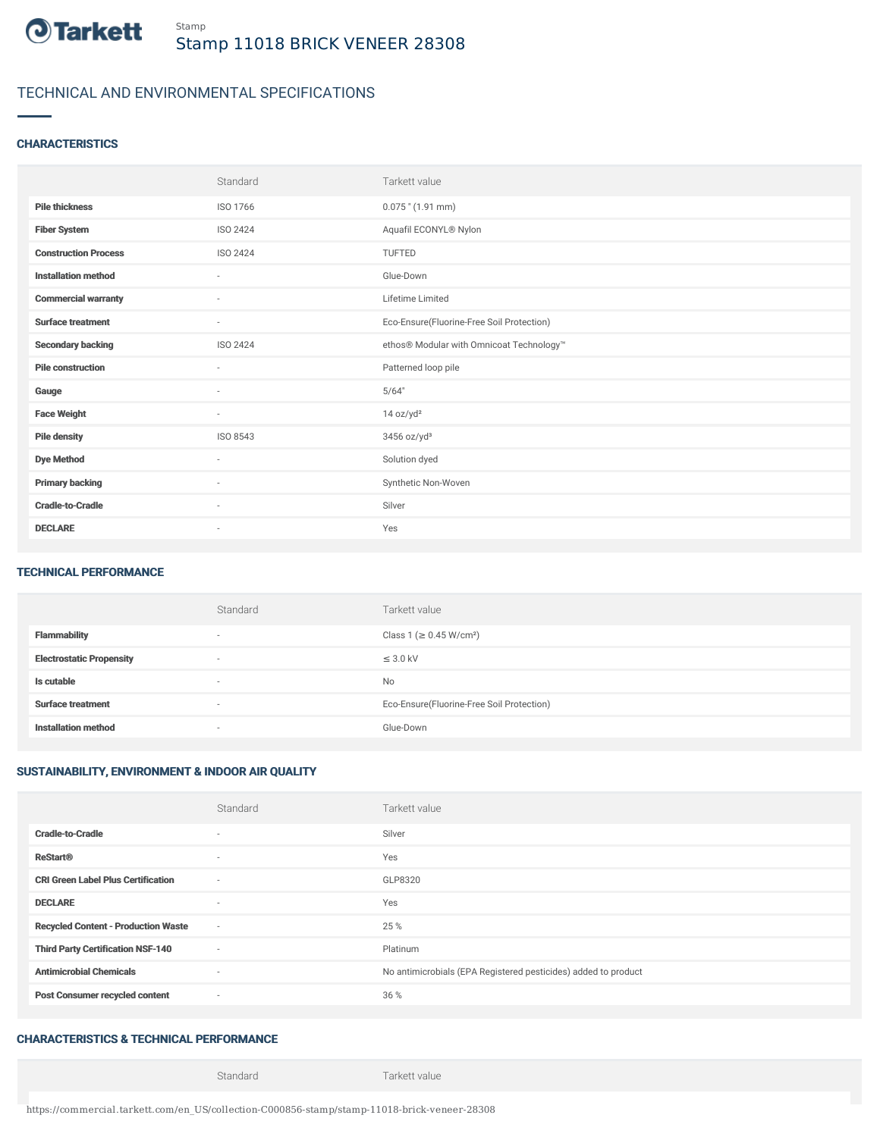

# TECHNICAL AND ENVIRONMENTAL SPECIFICATIONS

### **CHARACTERISTICS**

|                             | Standard                 | Tarkett value                             |
|-----------------------------|--------------------------|-------------------------------------------|
| <b>Pile thickness</b>       | ISO 1766                 | $0.075$ " (1.91 mm)                       |
| <b>Fiber System</b>         | ISO 2424                 | Aquafil ECONYL® Nylon                     |
| <b>Construction Process</b> | <b>ISO 2424</b>          | <b>TUFTED</b>                             |
| <b>Installation method</b>  | $\sim$                   | Glue-Down                                 |
| <b>Commercial warranty</b>  | $\overline{\phantom{a}}$ | Lifetime Limited                          |
| <b>Surface treatment</b>    | $\sim$                   | Eco-Ensure(Fluorine-Free Soil Protection) |
| <b>Secondary backing</b>    | ISO 2424                 | ethos® Modular with Omnicoat Technology™  |
| <b>Pile construction</b>    | $\sim$                   | Patterned loop pile                       |
| Gauge                       | $\sim$                   | 5/64"                                     |
| <b>Face Weight</b>          | $\sim$                   | 14 oz/yd <sup>2</sup>                     |
| <b>Pile density</b>         | ISO 8543                 | $3456$ oz/yd <sup>3</sup>                 |
| <b>Dye Method</b>           | $\sim$                   | Solution dyed                             |
| <b>Primary backing</b>      | $\sim$                   | Synthetic Non-Woven                       |
| <b>Cradle-to-Cradle</b>     | $\overline{\phantom{a}}$ | Silver                                    |
| <b>DECLARE</b>              | $\overline{\phantom{a}}$ | Yes                                       |

#### TECHNICAL PERFORMANCE

|                                 | Standard                 | Tarkett value                             |
|---------------------------------|--------------------------|-------------------------------------------|
| <b>Flammability</b>             | $\overline{\phantom{a}}$ | Class 1 (≥ 0.45 W/cm <sup>2</sup> )       |
| <b>Electrostatic Propensity</b> | $\overline{\phantom{a}}$ | $\leq$ 3.0 kV                             |
| Is cutable                      | $\overline{\phantom{a}}$ | No                                        |
| <b>Surface treatment</b>        | $\overline{\phantom{a}}$ | Eco-Ensure(Fluorine-Free Soil Protection) |
| <b>Installation method</b>      | $\overline{\phantom{a}}$ | Glue-Down                                 |

## SUSTAINABILITY, ENVIRONMENT & INDOOR AIR QUALITY

|                                            | Standard                 | Tarkett value                                                  |
|--------------------------------------------|--------------------------|----------------------------------------------------------------|
| <b>Cradle-to-Cradle</b>                    | ٠                        | Silver                                                         |
| <b>ReStart®</b>                            | $\sim$                   | Yes                                                            |
| <b>CRI Green Label Plus Certification</b>  | $\sim$                   | GLP8320                                                        |
| <b>DECLARE</b>                             | $\sim$                   | Yes                                                            |
| <b>Recycled Content - Production Waste</b> | $\sim$                   | 25 %                                                           |
| <b>Third Party Certification NSF-140</b>   | $\sim$                   | Platinum                                                       |
| <b>Antimicrobial Chemicals</b>             | $\overline{\phantom{a}}$ | No antimicrobials (EPA Registered pesticides) added to product |
| <b>Post Consumer recycled content</b>      | $\sim$                   | 36 %                                                           |

## CHARACTERISTICS & TECHNICAL PERFORMANCE

Standard Tarkett value